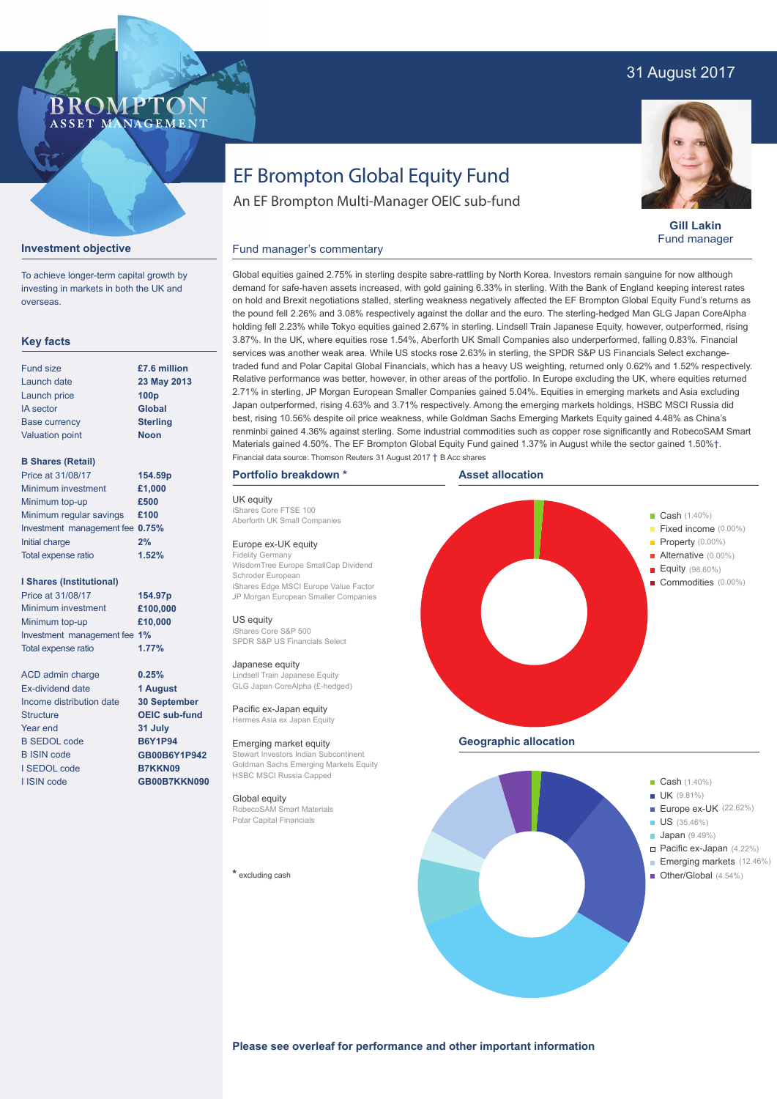## 31 August 2017

### BROMP ASSET MANAGEMENT

# EF Brompton Global Equity Fund

An EF Brompton Multi-Manager OEIC sub-fund



**Gill Lakin** Fund manager

#### Fund manager's commentary **Investment objective**

To achieve longer-term capital growth by investing in markets in both the UK and overseas.

#### **Key facts**

| <b>Fund size</b>       | £7.6 million     |
|------------------------|------------------|
| Launch date            | 23 May 2013      |
| Launch price           | 100 <sub>p</sub> |
| <b>IA</b> sector       | <b>Global</b>    |
| <b>Base currency</b>   | <b>Sterling</b>  |
| <b>Valuation point</b> | <b>Noon</b>      |
|                        |                  |

#### **B Shares (Retail)**

| Price at 31/08/17               | 154.59p |
|---------------------------------|---------|
| Minimum investment              | £1,000  |
| Minimum top-up                  | £500    |
| Minimum regular savings         | £100    |
| Investment management fee 0.75% |         |
| Initial charge                  | 2%      |
| Total expense ratio             | 1.52%   |
|                                 |         |

#### **I Shares (Institutional)**

| Price at 31/08/17            | 154.97p |
|------------------------------|---------|
| Minimum investment           | £100,00 |
| Minimum top-up               | £10,000 |
| Investment management fee 1% |         |
| Total expense ratio          | 1.77%   |

ACD admin charge Ex-dividend date Income distribution date **Structure** Year end B SEDOL code B ISIN code I SEDOL code I ISIN code

**£100,000 0.25% 1 August**

**30 September OEIC sub-fund 31 July B6Y1P94 GB00B6Y1P942 B7KKN09 GB00B7KKN090** demand for safe-haven assets increased, with gold gaining 6.33% in sterling. With the Bank of England keeping interest rates on hold and Brexit negotiations stalled, sterling weakness negatively affected the EF Brompton Global Equity Fund's returns as the pound fell 2.26% and 3.08% respectively against the dollar and the euro. The sterling-hedged Man GLG Japan CoreAlpha holding fell 2.23% while Tokyo equities gained 2.67% in sterling. Lindsell Train Japanese Equity, however, outperformed, rising 3.87%. In the UK, where equities rose 1.54%, Aberforth UK Small Companies also underperformed, falling 0.83%. Financial services was another weak area. While US stocks rose 2.63% in sterling, the SPDR S&P US Financials Select exchangetraded fund and Polar Capital Global Financials, which has a heavy US weighting, returned only 0.62% and 1.52% respectively. Relative performance was better, however, in other areas of the portfolio. In Europe excluding the UK, where equities returned 2.71% in sterling, JP Morgan European Smaller Companies gained 5.04%. Equities in emerging markets and Asia excluding Japan outperformed, rising 4.63% and 3.71% respectively. Among the emerging markets holdings, HSBC MSCI Russia did best, rising 10.56% despite oil price weakness, while Goldman Sachs Emerging Markets Equity gained 4.48% as China's renminbi gained 4.36% against sterling. Some industrial commodities such as copper rose significantly and RobecoSAM Smart Materials gained 4.50%. The EF Brompton Global Equity Fund gained 1.37% in August while the sector gained 1.50%†. Financial data source: Thomson Reuters 31 August 2017 † B Acc shares

Global equities gained 2.75% in sterling despite sabre-rattling by North Korea. Investors remain sanguine for now although

#### **Portfolio breakdown \***

UK equity iShares Core FTSE 100 Aberforth UK Small Companies

#### Europe ex-UK equity

Fidelity Germany WisdomTree Europe SmallCap Dividend Schroder European iShares Edge MSCI Europe Value Factor JP Morgan European Smaller Companies

#### US equity

iShares Core S&P 500 SPDR S&P US Financials Select

#### Japanese equity

Lindsell Train Japanese Equity GLG Japan CoreAlpha (£-hedged)

Pacific ex-Japan equity Hermes Asia ex Japan Equity

#### Emerging market equity

Stewart Investors Indian Subcontinent Goldman Sachs Emerging Markets Equity HSBC MSCI Russia Capped

#### Global equity RobecoSAM Smart Materials

Polar Capital Financials

**\*** excluding cash



- 
- **Japan** (9.49%)
	- Pacific ex-Japan (4.22%) Emerging markets (12.46%)
- Other/Global (4.54%)

**Please see overleaf for performance and other important information**